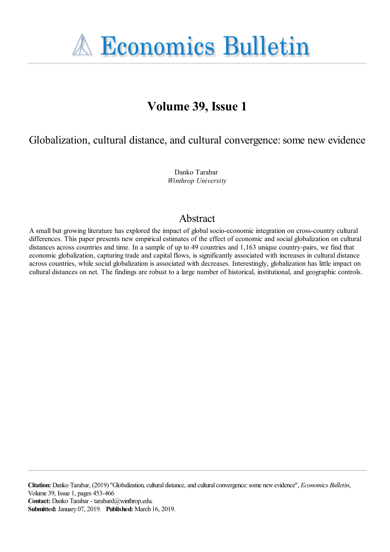**A Economics Bulletin** 

# **Volume 39, Issue 1**

Globalization, cultural distance, and cultural convergence: some new evidence

Danko Tarabar *Winthrop University*

## Abstract

A small but growing literature has explored the impact of global socio-economic integration on cross-country cultural differences. This paper presents new empirical estimates of the effect of economic and social globalization on cultural distances across countries and time. In a sample of up to 49 countries and 1,163 unique country-pairs, we find that economic globalization, capturing trade and capital flows, is significantly associated with increases in cultural distance across countries, while social globalization is associated with decreases. Interestingly, globalization has little impact on cultural distances on net. The findings are robust to a large number of historical, institutional, and geographic controls.

**Citation:** Danko Tarabar, (2019) ''Globalization, cultural distance, and cultural convergence: some new evidence'', *Economics Bulletin*, Volume 39, Issue 1, pages 453-466 **Contact:** Danko Tarabar - tarabard@winthrop.edu. **Submitted:** January 07, 2019. **Published:** March 16, 2019.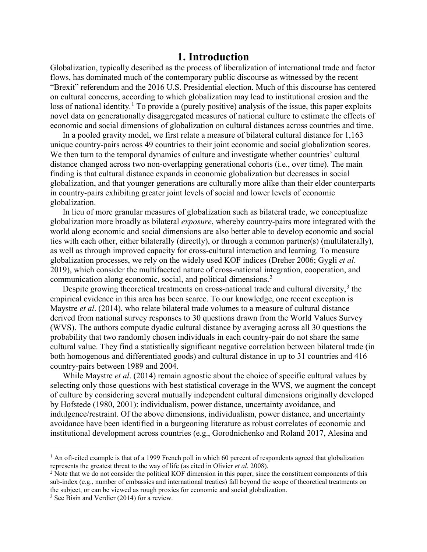#### **1. Introduction**

Globalization, typically described as the process of liberalization of international trade and factor flows, has dominated much of the contemporary public discourse as witnessed by the recent "Brexit" referendum and the 2016 U.S. Presidential election. Much of this discourse has centered on cultural concerns, according to which globalization may lead to institutional erosion and the loss of national identity.<sup>[1](#page-1-0)</sup> To provide a (purely positive) analysis of the issue, this paper exploits novel data on generationally disaggregated measures of national culture to estimate the effects of economic and social dimensions of globalization on cultural distances across countries and time.

In a pooled gravity model, we first relate a measure of bilateral cultural distance for 1,163 unique country-pairs across 49 countries to their joint economic and social globalization scores. We then turn to the temporal dynamics of culture and investigate whether countries' cultural distance changed across two non-overlapping generational cohorts (i.e., over time). The main finding is that cultural distance expands in economic globalization but decreases in social globalization, and that younger generations are culturally more alike than their elder counterparts in country-pairs exhibiting greater joint levels of social and lower levels of economic globalization.

In lieu of more granular measures of globalization such as bilateral trade, we conceptualize globalization more broadly as bilateral *exposure*, whereby country-pairs more integrated with the world along economic and social dimensions are also better able to develop economic and social ties with each other, either bilaterally (directly), or through a common partner(s) (multilaterally), as well as through improved capacity for cross-cultural interaction and learning. To measure globalization processes, we rely on the widely used KOF indices (Dreher 2006; Gygli *et al*. 2019), which consider the multifaceted nature of cross-national integration, cooperation, and communication along economic, social, and political dimensions.<sup>[2](#page-1-1)</sup>

Despite growing theoretical treatments on cross-national trade and cultural diversity,<sup>[3](#page-1-2)</sup> the empirical evidence in this area has been scarce. To our knowledge, one recent exception is Maystre *et al*. (2014), who relate bilateral trade volumes to a measure of cultural distance derived from national survey responses to 30 questions drawn from the World Values Survey (WVS). The authors compute dyadic cultural distance by averaging across all 30 questions the probability that two randomly chosen individuals in each country-pair do not share the same cultural value. They find a statistically significant negative correlation between bilateral trade (in both homogenous and differentiated goods) and cultural distance in up to 31 countries and 416 country-pairs between 1989 and 2004.

While Maystre *et al*. (2014) remain agnostic about the choice of specific cultural values by selecting only those questions with best statistical coverage in the WVS, we augment the concept of culture by considering several mutually independent cultural dimensions originally developed by Hofstede (1980, 2001): individualism, power distance, uncertainty avoidance, and indulgence/restraint. Of the above dimensions, individualism, power distance, and uncertainty avoidance have been identified in a burgeoning literature as robust correlates of economic and institutional development across countries (e.g., Gorodnichenko and Roland 2017, Alesina and

 $\overline{a}$ 

<span id="page-1-0"></span> $<sup>1</sup>$  An oft-cited example is that of a 1999 French poll in which 60 percent of respondents agreed that globalization</sup> represents the greatest threat to the way of life (as cited in Olivier *et al*. 2008).

<span id="page-1-1"></span><sup>&</sup>lt;sup>2</sup> Note that we do not consider the political KOF dimension in this paper, since the constituent components of this sub-index (e.g., number of embassies and international treaties) fall beyond the scope of theoretical treatments on the subject, or can be viewed as rough proxies for economic and social globalization.

<span id="page-1-2"></span> $3$  See Bisin and Verdier (2014) for a review.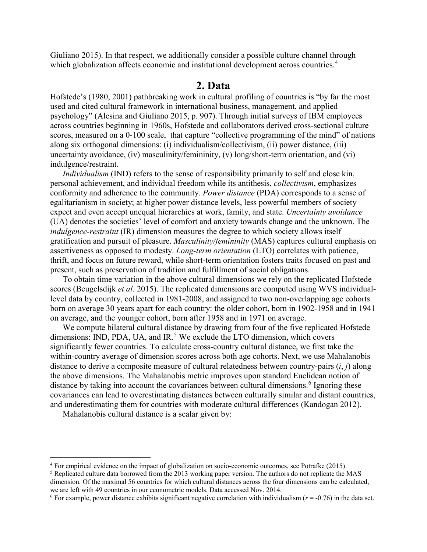Giuliano 2015). In that respect, we additionally consider a possible culture channel through which globalization affects economic and institutional development across countries.<sup>[4](#page-2-0)</sup>

#### **2. Data**

Hofstede's (1980, 2001) pathbreaking work in cultural profiling of countries is "by far the most used and cited cultural framework in international business, management, and applied psychology" (Alesina and Giuliano 2015, p. 907). Through initial surveys of IBM employees across countries beginning in 1960s, Hofstede and collaborators derived cross-sectional culture scores, measured on a 0-100 scale, that capture "collective programming of the mind" of nations along six orthogonal dimensions: (i) individualism/collectivism, (ii) power distance, (iii) uncertainty avoidance, (iv) masculinity/femininity, (v) long/short-term orientation, and (vi) indulgence/restraint.

*Individualism* (IND) refers to the sense of responsibility primarily to self and close kin, personal achievement, and individual freedom while its antithesis, *collectivism*, emphasizes conformity and adherence to the community. *Power distance* (PDA) corresponds to a sense of egalitarianism in society; at higher power distance levels, less powerful members of society expect and even accept unequal hierarchies at work, family, and state. *Uncertainty avoidance* (UA) denotes the societies' level of comfort and anxiety towards change and the unknown. The *indulgence-restraint* (IR) dimension measures the degree to which society allows itself gratification and pursuit of pleasure. *Masculinity/femininity* (MAS) captures cultural emphasis on assertiveness as opposed to modesty. *Long-term orientation* (LTO) correlates with patience, thrift, and focus on future reward, while short-term orientation fosters traits focused on past and present, such as preservation of tradition and fulfillment of social obligations.

To obtain time variation in the above cultural dimensions we rely on the replicated Hofstede scores (Beugelsdijk *et al*. 2015). The replicated dimensions are computed using WVS individuallevel data by country, collected in 1981-2008, and assigned to two non-overlapping age cohorts born on average 30 years apart for each country: the older cohort, born in 1902-1958 and in 1941 on average, and the younger cohort, born after 1958 and in 1971 on average.

We compute bilateral cultural distance by drawing from four of the five replicated Hofstede dimensions: IND, PDA, UA, and IR.<sup>[5](#page-2-1)</sup> We exclude the LTO dimension, which covers significantly fewer countries. To calculate cross-country cultural distance, we first take the within-country average of dimension scores across both age cohorts. Next, we use Mahalanobis distance to derive a composite measure of cultural relatedness between country-pairs (*i*, *j*) along the above dimensions. The Mahalanobis metric improves upon standard Euclidean notion of distance by taking into account the covariances between cultural dimensions.<sup>[6](#page-2-2)</sup> Ignoring these covariances can lead to overestimating distances between culturally similar and distant countries, and underestimating them for countries with moderate cultural differences (Kandogan 2012).

Mahalanobis cultural distance is a scalar given by:

 $\overline{a}$ 

<span id="page-2-0"></span><sup>4</sup> For empirical evidence on the impact of globalization on socio-economic outcomes, see Potrafke (2015).

<span id="page-2-1"></span><sup>&</sup>lt;sup>5</sup> Replicated culture data borrowed from the 2013 working paper version. The authors do not replicate the MAS dimension. Of the maximal 56 countries for which cultural distances across the four dimensions can be calculated, we are left with 49 countries in our econometric models. Data accessed Nov. 2014.

<span id="page-2-2"></span><sup>&</sup>lt;sup>6</sup> For example, power distance exhibits significant negative correlation with individualism ( $r = -0.76$ ) in the data set.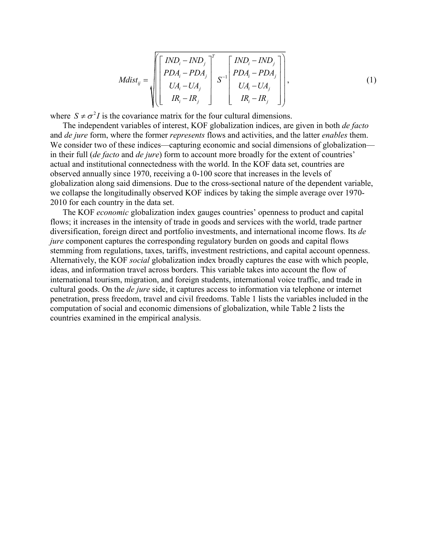1 *T ij ij ij ij ij ij ij ij ij IND IND IND IND PDA PDA PDA PDA Mdist S UA UA UA UA IR IR IR IR* − − − − − <sup>=</sup> − − − − , (1)

where  $S \neq \sigma^2 I$  is the covariance matrix for the four cultural dimensions.

The independent variables of interest, KOF globalization indices, are given in both *de facto* and *de jure* form, where the former *represents* flows and activities, and the latter *enables* them. We consider two of these indices—capturing economic and social dimensions of globalization in their full (*de facto* and *de jure*) form to account more broadly for the extent of countries' actual and institutional connectedness with the world. In the KOF data set, countries are observed annually since 1970, receiving a 0-100 score that increases in the levels of globalization along said dimensions. Due to the cross-sectional nature of the dependent variable, we collapse the longitudinally observed KOF indices by taking the simple average over 1970- 2010 for each country in the data set.

The KOF *economic* globalization index gauges countries' openness to product and capital flows; it increases in the intensity of trade in goods and services with the world, trade partner diversification, foreign direct and portfolio investments, and international income flows. Its *de jure* component captures the corresponding regulatory burden on goods and capital flows stemming from regulations, taxes, tariffs, investment restrictions, and capital account openness. Alternatively, the KOF *social* globalization index broadly captures the ease with which people, ideas, and information travel across borders. This variable takes into account the flow of international tourism, migration, and foreign students, international voice traffic, and trade in cultural goods. On the *de jure* side, it captures access to information via telephone or internet penetration, press freedom, travel and civil freedoms. Table 1 lists the variables included in the computation of social and economic dimensions of globalization, while Table 2 lists the countries examined in the empirical analysis.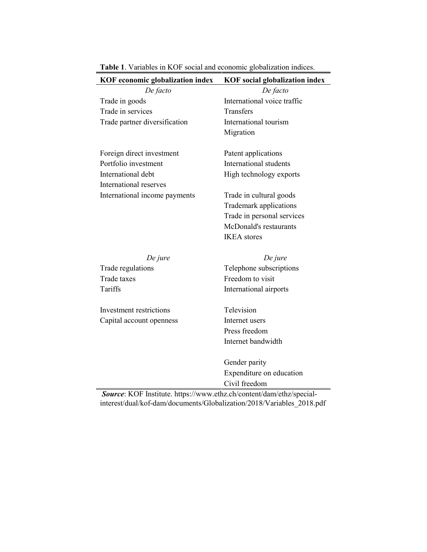| KOF economic globalization index            | <b>KOF</b> social globalization index |  |  |  |
|---------------------------------------------|---------------------------------------|--|--|--|
| De facto                                    | De facto                              |  |  |  |
| Trade in goods                              | International voice traffic           |  |  |  |
| Trade in services                           | Transfers                             |  |  |  |
| Trade partner diversification               | International tourism                 |  |  |  |
|                                             | Migration                             |  |  |  |
| Foreign direct investment                   | Patent applications                   |  |  |  |
| Portfolio investment                        | International students                |  |  |  |
| International debt                          | High technology exports               |  |  |  |
| International reserves                      |                                       |  |  |  |
| International income payments               | Trade in cultural goods               |  |  |  |
|                                             | Trademark applications                |  |  |  |
|                                             | Trade in personal services            |  |  |  |
|                                             | McDonald's restaurants                |  |  |  |
|                                             | <b>IKEA</b> stores                    |  |  |  |
|                                             |                                       |  |  |  |
| De jure                                     | De jure                               |  |  |  |
| Trade regulations                           | Telephone subscriptions               |  |  |  |
| Trade taxes                                 | Freedom to visit                      |  |  |  |
| Tariffs                                     | International airports                |  |  |  |
|                                             |                                       |  |  |  |
| Investment restrictions                     | Television                            |  |  |  |
| Capital account openness                    | Internet users                        |  |  |  |
|                                             | Press freedom                         |  |  |  |
|                                             | Internet bandwidth                    |  |  |  |
|                                             | Gender parity                         |  |  |  |
|                                             | Expenditure on education              |  |  |  |
|                                             | Civil freedom                         |  |  |  |
| $\mathbf{r}$<br>$L\cap$<br>1.11<br>$\prime$ | $\cdot$ 1<br>$1/1$ $1/1$ $1$          |  |  |  |

**Table 1**. Variables in KOF social and economic globalization indices.

*Source*: KOF Institute. https://www.ethz.ch/content/dam/ethz/specialinterest/dual/kof-dam/documents/Globalization/2018/Variables\_2018.pdf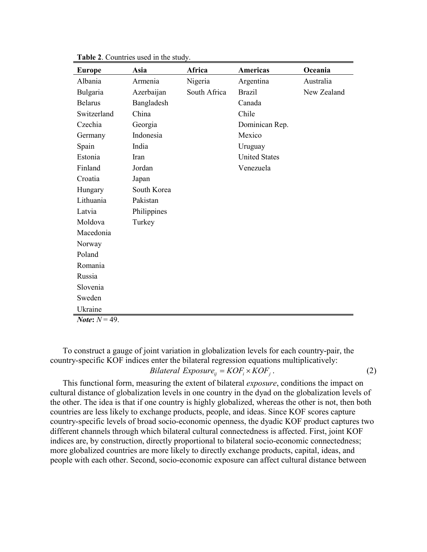| <b>Europe</b>            | Asia        | Africa       | <b>Americas</b>      | Oceania     |
|--------------------------|-------------|--------------|----------------------|-------------|
| Albania                  | Armenia     | Nigeria      | Argentina            | Australia   |
| Bulgaria                 | Azerbaijan  | South Africa | <b>Brazil</b>        | New Zealand |
| <b>Belarus</b>           | Bangladesh  |              | Canada               |             |
| Switzerland              | China       |              | Chile                |             |
| Czechia                  | Georgia     |              | Dominican Rep.       |             |
| Germany                  | Indonesia   |              | Mexico               |             |
| Spain                    | India       |              | Uruguay              |             |
| Estonia                  | Iran        |              | <b>United States</b> |             |
| Finland                  | Jordan      |              | Venezuela            |             |
| Croatia                  | Japan       |              |                      |             |
| Hungary                  | South Korea |              |                      |             |
| Lithuania                | Pakistan    |              |                      |             |
| Latvia                   | Philippines |              |                      |             |
| Moldova                  | Turkey      |              |                      |             |
| Macedonia                |             |              |                      |             |
| Norway                   |             |              |                      |             |
| Poland                   |             |              |                      |             |
| Romania                  |             |              |                      |             |
| Russia                   |             |              |                      |             |
| Slovenia                 |             |              |                      |             |
| Sweden                   |             |              |                      |             |
| Ukraine                  |             |              |                      |             |
| <i>Note</i> : $N = 49$ . |             |              |                      |             |

**Table 2**. Countries used in the study.

To construct a gauge of joint variation in globalization levels for each country-pair, the country-specific KOF indices enter the bilateral regression equations multiplicatively: *Bilateral Exposure*<sub>*ii*</sub> =  $KOF_i \times KOF_j$ . (2)

This functional form, measuring the extent of bilateral *exposure*, conditions the impact on cultural distance of globalization levels in one country in the dyad on the globalization levels of the other. The idea is that if one country is highly globalized, whereas the other is not, then both countries are less likely to exchange products, people, and ideas. Since KOF scores capture country-specific levels of broad socio-economic openness, the dyadic KOF product captures two different channels through which bilateral cultural connectedness is affected. First, joint KOF indices are, by construction, directly proportional to bilateral socio-economic connectedness; more globalized countries are more likely to directly exchange products, capital, ideas, and people with each other. Second, socio-economic exposure can affect cultural distance between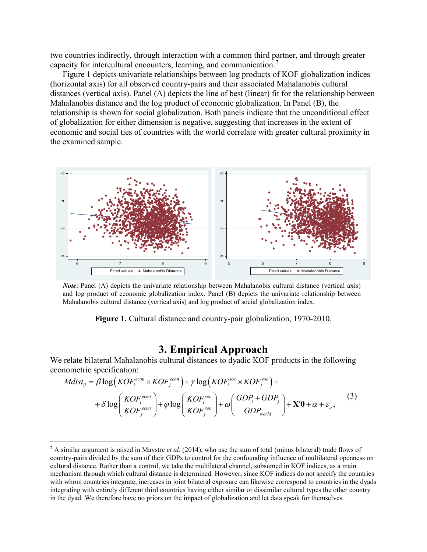two countries indirectly, through interaction with a common third partner, and through greater capacity for intercultural encounters, learning, and communication.[7](#page-6-0)

Figure 1 depicts univariate relationships between log products of KOF globalization indices (horizontal axis) for all observed country-pairs and their associated Mahalanobis cultural distances (vertical axis). Panel (A) depicts the line of best (linear) fit for the relationship between Mahalanobis distance and the log product of economic globalization. In Panel (B), the relationship is shown for social globalization. Both panels indicate that the unconditional effect of globalization for either dimension is negative, suggesting that increases in the extent of economic and social ties of countries with the world correlate with greater cultural proximity in the examined sample.



*Note*: Panel (A) depicts the univariate relationship between Mahalanobis cultural distance (vertical axis) and log product of economic globalization index. Panel (B) depicts the univariate relationship between Mahalanobis cultural distance (vertical axis) and log product of social globalization index.

**Figure 1.** Cultural distance and country-pair globalization, 1970-2010.

#### **3. Empirical Approach**

We relate bilateral Mahalanobis cultural distances to dyadic KOF products in the following econometric specification:

-

$$
Mdist_{ij} = \beta \log(KOF_i^{econ} \times KOF_j^{econ}) + \gamma \log(KOF_i^{soc} \times KOF_j^{soc}) + + \delta \log \left( \frac{KOF_i^{econ}}{KOF_j^{econ}} \right) + \varphi \log \left( \frac{KOF_i^{soc}}{KOF_j^{soc}} \right) + \omega \left( \frac{GDP_i + GDP_j}{GDP_{world}} \right) + \mathbf{X'}\boldsymbol{\theta} + \alpha + \varepsilon_{ij},
$$
(3)

<span id="page-6-0"></span><sup>7</sup> A similar argument is raised in Maystre *et al*. (2014), who use the sum of total (minus bilateral) trade flows of country-pairs divided by the sum of their GDPs to control for the confounding influence of multilateral openness on cultural distance. Rather than a control, we take the multilateral channel, subsumed in KOF indices, as a main mechanism through which cultural distance is determined. However, since KOF indices do not specify the countries with whom countries integrate, increases in joint bilateral exposure can likewise correspond to countries in the dyads integrating with entirely different third countries having either similar or dissimilar cultural types the other country in the dyad. We therefore have no priors on the impact of globalization and let data speak for themselves.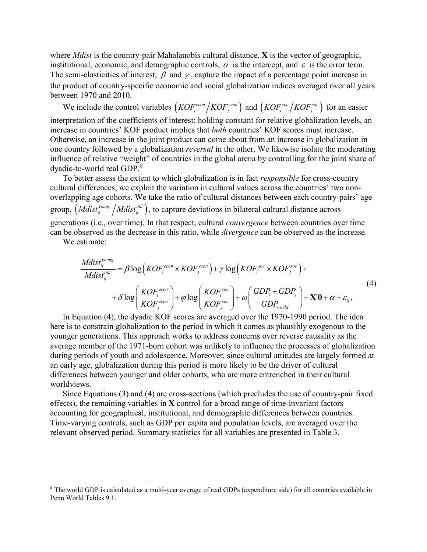where *Mdist* is the country-pair Mahalanobis cultural distance, **X** is the vector of geographic, institutional, economic, and demographic controls,  $\alpha$  is the intercept, and  $\varepsilon$  is the error term. The semi-elasticities of interest,  $\beta$  and  $\gamma$ , capture the impact of a percentage point increase in the product of country-specific economic and social globalization indices averaged over all years between 1970 and 2010.

We include the control variables  $(KOF_i^{econ}/KOF_j^{econ})$  and  $(KOF_i^{soc}/KOF_j^{soc})$  for an easier interpretation of the coefficients of interest: holding constant for relative globalization levels, an increase in countries' KOF product implies that *both* countries' KOF scores must increase. Otherwise, an increase in the joint product can come about from an increase in globalization in one country followed by a globalization *reversal* in the other. We likewise isolate the moderating influence of relative "weight" of countries in the global arena by controlling for the joint share of dyadic-to-world real GDP.[8](#page-7-0)

To better assess the extent to which globalization is in fact *responsible* for cross-country cultural differences, we exploit the variation in cultural values across the countries' two nonoverlapping age cohorts. We take the ratio of cultural distances between each country-pairs' age group,  $(Mdist_{ii}^{young} / Mdist_{ii}^{old})$ , to capture deviations in bilateral cultural distance across generations (i.e., over time). In that respect, cultural *convergence* between countries over time can be observed as the decrease in this ratio, while *divergence* can be observed as the increase.

We estimate:

 $\overline{a}$ 

$$
\frac{Mdist_{ij}^{young}}{Mdist_{ij}^{old}} = \beta \log \left(KOF_i^{econ} \times KOF_j^{econ}\right) + \gamma \log \left(KOF_i^{soc} \times KOF_j^{soc}\right) + \\ + \delta \log \left(\frac{KOF_i^{econ}}{KOF_j^{econ}}\right) + \varphi \log \left(\frac{KOF_i^{soc}}{KOF_j^{soc}}\right) + \omega \left(\frac{GDP_i + GDP_j}{GDP_{world}}\right) + \mathbf{X'}\mathbf{\theta} + \alpha + \varepsilon_{ij},
$$
\n(4)

In Equation (4), the dyadic KOF scores are averaged over the 1970-1990 period. The idea here is to constrain globalization to the period in which it comes as plausibly exogenous to the younger generations. This approach works to address concerns over reverse causality as the average member of the 1971-born cohort was unlikely to influence the processes of globalization during periods of youth and adolescence. Moreover, since cultural attitudes are largely formed at an early age, globalization during this period is more likely to be the driver of cultural differences between younger and older cohorts, who are more entrenched in their cultural worldviews.

Since Equations (3) and (4) are cross-sections (which precludes the use of country-pair fixed effects), the remaining variables in **X** control for a broad range of time-invariant factors accounting for geographical, institutional, and demographic differences between countries. Time-varying controls, such as GDP per capita and population levels, are averaged over the relevant observed period. Summary statistics for all variables are presented in Table 3.

<span id="page-7-0"></span> $8$  The world GDP is calculated as a multi-year average of real GDPs (expenditure side) for all countries available in Penn World Tables 9.1.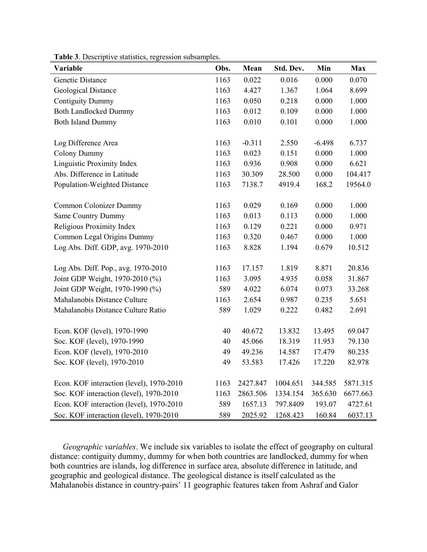| Variable                                 | Obs. | Mean     | Std. Dev. | Min      | <b>Max</b> |
|------------------------------------------|------|----------|-----------|----------|------------|
| Genetic Distance                         | 1163 | 0.022    | 0.016     | 0.000    | 0.070      |
| Geological Distance                      | 1163 | 4.427    | 1.367     | 1.064    | 8.699      |
| <b>Contiguity Dummy</b>                  | 1163 | 0.050    | 0.218     | 0.000    | 1.000      |
| <b>Both Landlocked Dummy</b>             | 1163 | 0.012    | 0.109     | 0.000    | 1.000      |
| <b>Both Island Dummy</b>                 | 1163 | 0.010    | 0.101     | 0.000    | 1.000      |
| Log Difference Area                      | 1163 | $-0.311$ | 2.550     | $-6.498$ | 6.737      |
| <b>Colony Dummy</b>                      | 1163 | 0.023    | 0.151     | 0.000    | 1.000      |
| Linguistic Proximity Index               | 1163 | 0.936    | 0.908     | 0.000    | 6.621      |
| Abs. Difference in Latitude              | 1163 | 30.309   | 28.500    | 0.000    | 104.417    |
| Population-Weighted Distance             | 1163 | 7138.7   | 4919.4    | 168.2    | 19564.0    |
| Common Colonizer Dummy                   | 1163 | 0.029    | 0.169     | 0.000    | 1.000      |
| <b>Same Country Dummy</b>                | 1163 | 0.013    | 0.113     | 0.000    | 1.000      |
| Religious Proximity Index                | 1163 | 0.129    | 0.221     | 0.000    | 0.971      |
| Common Legal Origins Dummy               | 1163 | 0.320    | 0.467     | 0.000    | 1.000      |
| Log Abs. Diff. GDP, avg. 1970-2010       | 1163 | 8.828    | 1.194     | 0.679    | 10.512     |
| Log Abs. Diff. Pop., avg. 1970-2010      | 1163 | 17.157   | 1.819     | 8.871    | 20.836     |
| Joint GDP Weight, 1970-2010 (%)          | 1163 | 3.095    | 4.935     | 0.058    | 31.867     |
| Joint GDP Weight, 1970-1990 (%)          | 589  | 4.022    | 6.074     | 0.073    | 33.268     |
| Mahalanobis Distance Culture             | 1163 | 2.654    | 0.987     | 0.235    | 5.651      |
| Mahalanobis Distance Culture Ratio       | 589  | 1.029    | 0.222     | 0.482    | 2.691      |
| Econ. KOF (level), 1970-1990             | 40   | 40.672   | 13.832    | 13.495   | 69.047     |
| Soc. KOF (level), 1970-1990              | 40   | 45.066   | 18.319    | 11.953   | 79.130     |
| Econ. KOF (level), 1970-2010             | 49   | 49.236   | 14.587    | 17.479   | 80.235     |
| Soc. KOF (level), 1970-2010              | 49   | 53.583   | 17.426    | 17.220   | 82.978     |
| Econ. KOF interaction (level), 1970-2010 | 1163 | 2427.847 | 1004.651  | 344.585  | 5871.315   |
| Soc. KOF interaction (level), 1970-2010  | 1163 | 2863.506 | 1334.154  | 365.630  | 6677.663   |
| Econ. KOF interaction (level), 1970-2010 | 589  | 1657.13  | 797.8409  | 193.07   | 4727.61    |
| Soc. KOF interaction (level), 1970-2010  | 589  | 2025.92  | 1268.423  | 160.84   | 6037.13    |

**Table 3**. Descriptive statistics, regression subsamples.

*Geographic variables*. We include six variables to isolate the effect of geography on cultural distance: contiguity dummy, dummy for when both countries are landlocked, dummy for when both countries are islands, log difference in surface area, absolute difference in latitude, and geographic and geological distance. The geological distance is itself calculated as the Mahalanobis distance in country-pairs' 11 geographic features taken from Ashraf and Galor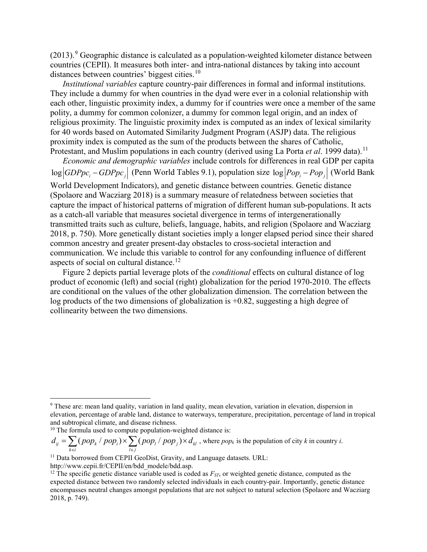$(2013).9$  $(2013).9$  Geographic distance is calculated as a population-weighted kilometer distance between countries (CEPII). It measures both inter- and intra-national distances by taking into account distances between countries' biggest cities.<sup>[10](#page-9-1)</sup>

*Institutional variables* capture country-pair differences in formal and informal institutions. They include a dummy for when countries in the dyad were ever in a colonial relationship with each other, linguistic proximity index, a dummy for if countries were once a member of the same polity, a dummy for common colonizer, a dummy for common legal origin, and an index of religious proximity. The linguistic proximity index is computed as an index of lexical similarity for 40 words based on Automated Similarity Judgment Program (ASJP) data. The religious proximity index is computed as the sum of the products between the shares of Catholic, Protestant, and Muslim populations in each country (derived using La Porta *et al.* 1999 data).<sup>[11](#page-9-2)</sup>

*Economic and demographic variables* include controls for differences in real GDP per capita log *GDPpc<sub>i</sub>* − *GDPpc<sub>i</sub>* | (Penn World Tables 9.1), population size log  $|Pop_i - Pop_i|$  (World Bank

World Development Indicators), and genetic distance between countries. Genetic distance (Spolaore and Wacziarg 2018) is a summary measure of relatedness between societies that capture the impact of historical patterns of migration of different human sub-populations. It acts as a catch-all variable that measures societal divergence in terms of intergenerationally transmitted traits such as culture, beliefs, language, habits, and religion (Spolaore and Wacziarg 2018, p. 750). More genetically distant societies imply a longer elapsed period since their shared common ancestry and greater present-day obstacles to cross-societal interaction and communication. We include this variable to control for any confounding influence of different aspects of social on cultural distance.<sup>[12](#page-9-3)</sup>

Figure 2 depicts partial leverage plots of the *conditional* effects on cultural distance of log product of economic (left) and social (right) globalization for the period 1970-2010. The effects are conditional on the values of the other globalization dimension. The correlation between the log products of the two dimensions of globalization is +0.82, suggesting a high degree of collinearity between the two dimensions.

 $\mathcal{E}_{ij} = \sum (pop_{k} / \ pop_{i}) \times \sum (pop_{l} / \ pop_{j}) \times d_{kl}$  $k \in i$   $l \in j$  $d_{ij} = \sum (pop_k / pop_i) \times \sum (pop_l / pop_j) \times d_k$  $=\sum_{k\in i} (pop_k \mid pop_i) \times \sum_{l\in j} (pop_l \mid pop_j) \times d_{kl}$ , where  $pop_k$  is the population of city *k* in country *i*.

http://www.cepii.fr/CEPII/en/bdd\_modele/bdd.asp.

 $\overline{a}$ 

<span id="page-9-0"></span><sup>9</sup> These are: mean land quality, variation in land quality, mean elevation, variation in elevation, dispersion in elevation, percentage of arable land, distance to waterways, temperature, precipitation, percentage of land in tropical and subtropical climate, and disease richness.

<span id="page-9-1"></span><sup>&</sup>lt;sup>10</sup> The formula used to compute population-weighted distance is:

<span id="page-9-2"></span><sup>&</sup>lt;sup>11</sup> Data borrowed from CEPII GeoDist, Gravity, and Language datasets. URL:

<span id="page-9-3"></span><sup>&</sup>lt;sup>12</sup> The specific genetic distance variable used is coded as  $F_{ST}$ , or weighted genetic distance, computed as the expected distance between two randomly selected individuals in each country-pair. Importantly, genetic distance encompasses neutral changes amongst populations that are not subject to natural selection (Spolaore and Wacziarg 2018, p. 749).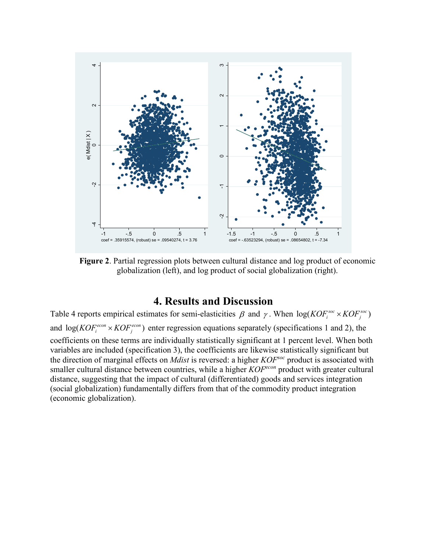

**Figure 2**. Partial regression plots between cultural distance and log product of economic globalization (left), and log product of social globalization (right).

### **4. Results and Discussion**

Table 4 reports empirical estimates for semi-elasticities  $\beta$  and  $\gamma$ . When  $log(KOF_i^{soc} \times KOF_i^{soc})$ and  $log(KOF_i^{econ} \times KOF_j^{econ})$  enter regression equations separately (specifications 1 and 2), the coefficients on these terms are individually statistically significant at 1 percent level. When both variables are included (specification 3), the coefficients are likewise statistically significant but the direction of marginal effects on *Mdist* is reversed: a higher *KOFsoc* product is associated with smaller cultural distance between countries, while a higher *KOFecon* product with greater cultural distance, suggesting that the impact of cultural (differentiated) goods and services integration (social globalization) fundamentally differs from that of the commodity product integration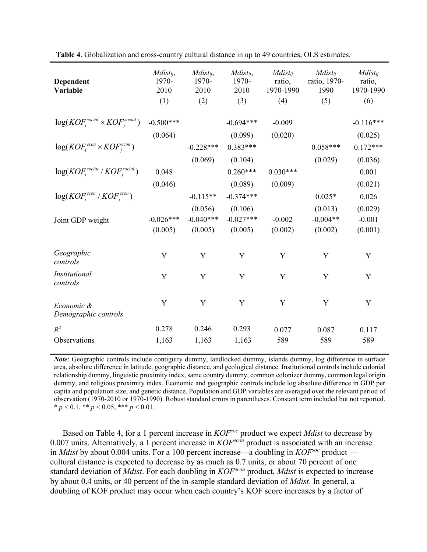| Dependent<br>Variable                       | $Mdist_{ij}$ ,<br>1970-<br>2010<br>(1) | $Mdist_{ij}$ ,<br>1970-<br>2010<br>(2) | $Mdist_{ij}$ ,<br>1970-<br>2010<br>(3) | $Mdist_{ij}$<br>ratio,<br>1970-1990<br>(4) | $Mdist_{ij}$<br>ratio, 1970-<br>1990<br>(5) | $Mdist_{ii}$<br>ratio,<br>1970-1990<br>(6) |
|---------------------------------------------|----------------------------------------|----------------------------------------|----------------------------------------|--------------------------------------------|---------------------------------------------|--------------------------------------------|
| $log(KOF_i^{social} \times KOF_i^{social})$ | $-0.500***$                            |                                        | $-0.694***$                            | $-0.009$                                   |                                             | $-0.116***$                                |
| $log(KOF_i^{econ} \times KOF_i^{econ})$     | (0.064)                                | $-0.228***$                            | (0.099)<br>$0.383***$                  | (0.020)                                    | $0.058***$                                  | (0.025)<br>$0.172***$                      |
| $log(KOFisocial / KOFisocial)$              | 0.048                                  | (0.069)                                | (0.104)<br>$0.260***$                  | $0.030***$                                 | (0.029)                                     | (0.036)<br>0.001                           |
| $log(KOF_i^{econ}/KOF_i^{econ})$            | (0.046)                                | $-0.115**$                             | (0.089)<br>$-0.374***$                 | (0.009)                                    | $0.025*$                                    | (0.021)<br>0.026                           |
| Joint GDP weight                            | $-0.026***$<br>(0.005)                 | (0.056)<br>$-0.040***$<br>(0.005)      | (0.106)<br>$-0.027***$<br>(0.005)      | $-0.002$<br>(0.002)                        | (0.013)<br>$-0.004**$<br>(0.002)            | (0.029)<br>$-0.001$<br>(0.001)             |
| Geographic<br>controls                      | Y                                      | Y                                      | Y                                      | Y                                          | Y                                           | Y                                          |
| Institutional<br>controls                   | $\mathbf Y$                            | $\mathbf Y$                            | Y                                      | Y                                          | Y                                           | Y                                          |
| Economic &<br>Demographic controls          | Y                                      | Y                                      | Y                                      | Y                                          | Y                                           | Y                                          |
| $R^2$                                       | 0.278                                  | 0.246                                  | 0.293                                  | 0.077                                      | 0.087                                       | 0.117                                      |
| Observations                                | 1,163                                  | 1,163                                  | 1,163                                  | 589                                        | 589                                         | 589                                        |

**Table 4**. Globalization and cross-country cultural distance in up to 49 countries, OLS estimates.

*Note*: Geographic controls include contiguity dummy, landlocked dummy, islands dummy, log difference in surface area, absolute difference in latitude, geographic distance, and geological distance. Institutional controls include colonial relationship dummy, linguistic proximity index, same country dummy, common colonizer dummy, common legal origin dummy, and religious proximity index. Economic and geographic controls include log absolute difference in GDP per capita and population size, and genetic distance. Population and GDP variables are averaged over the relevant period of observation (1970-2010 or 1970-1990). Robust standard errors in parentheses. Constant term included but not reported.  $* p < 0.1, ** p < 0.05, *** p < 0.01.$ 

Based on Table 4, for a 1 percent increase in *KOFsoc* product we expect *Mdist* to decrease by 0.007 units. Alternatively, a 1 percent increase in *KOFecon* product is associated with an increase in *Mdist* by about 0.004 units. For a 100 percent increase—a doubling in *KOFsoc* product cultural distance is expected to decrease by as much as 0.7 units, or about 70 percent of one standard deviation of *Mdist*. For each doubling in *KOFecon* product, *Mdist* is expected to increase by about 0.4 units, or 40 percent of the in-sample standard deviation of *Mdist*. In general, a doubling of KOF product may occur when each country's KOF score increases by a factor of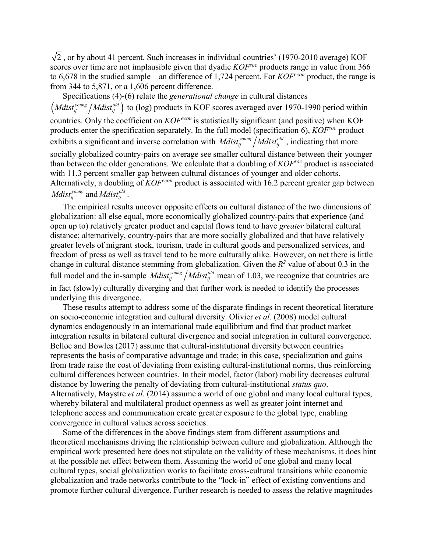$\sqrt{2}$ , or by about 41 percent. Such increases in individual countries' (1970-2010 average) KOF scores over time are not implausible given that dyadic *KOFsoc* products range in value from 366 to 6,678 in the studied sample—an difference of 1,724 percent. For *KOFecon* product, the range is from 344 to 5,871, or a 1,606 percent difference.

Specifications (4)-(6) relate the *generational change* in cultural distances (*Mdist<sub>ij</sub>* /*Mdist<sub>ij</sub>*<sup>old</sup></sup>) to (log) products in KOF scores averaged over 1970-1990 period within countries. Only the coefficient on  $KOF^{econ}$  is statistically significant (and positive) when KOF products enter the specification separately. In the full model (specification 6), *KOFsoc* product exhibits a significant and inverse correlation with *Mdist*<sup>*young*</sup> /*Mdist*<sup>*gid*</sup>, indicating that more socially globalized country-pairs on average see smaller cultural distance between their younger than between the older generations. We calculate that a doubling of *KOFsoc* product is associated with 11.3 percent smaller gap between cultural distances of younger and older cohorts. Alternatively, a doubling of *KOFecon* product is associated with 16.2 percent greater gap between *Mdist*<sup>*young*</sup> and *Mdist*<sup>old</sup>.

The empirical results uncover opposite effects on cultural distance of the two dimensions of globalization: all else equal, more economically globalized country-pairs that experience (and open up to) relatively greater product and capital flows tend to have *greater* bilateral cultural distance; alternatively, country-pairs that are more socially globalized and that have relatively greater levels of migrant stock, tourism, trade in cultural goods and personalized services, and freedom of press as well as travel tend to be more culturally alike. However, on net there is little change in cultural distance stemming from globalization. Given the  $R^2$  value of about 0.3 in the full model and the in-sample *Mdist*<sup>*young*</sup> /*Mdist*<sub>*ij*</sub><sup>*old*</sup> mean of 1.03, we recognize that countries are in fact (slowly) culturally diverging and that further work is needed to identify the processes underlying this divergence.

These results attempt to address some of the disparate findings in recent theoretical literature on socio-economic integration and cultural diversity. Olivier *et al*. (2008) model cultural dynamics endogenously in an international trade equilibrium and find that product market integration results in bilateral cultural divergence and social integration in cultural convergence. Belloc and Bowles (2017) assume that cultural-institutional diversity between countries represents the basis of comparative advantage and trade; in this case, specialization and gains from trade raise the cost of deviating from existing cultural-institutional norms, thus reinforcing cultural differences between countries. In their model, factor (labor) mobility decreases cultural distance by lowering the penalty of deviating from cultural-institutional *status quo*. Alternatively, Maystre *et al*. (2014) assume a world of one global and many local cultural types, whereby bilateral and multilateral product openness as well as greater joint internet and telephone access and communication create greater exposure to the global type, enabling convergence in cultural values across societies.

Some of the differences in the above findings stem from different assumptions and theoretical mechanisms driving the relationship between culture and globalization. Although the empirical work presented here does not stipulate on the validity of these mechanisms, it does hint at the possible net effect between them. Assuming the world of one global and many local cultural types, social globalization works to facilitate cross-cultural transitions while economic globalization and trade networks contribute to the "lock-in" effect of existing conventions and promote further cultural divergence. Further research is needed to assess the relative magnitudes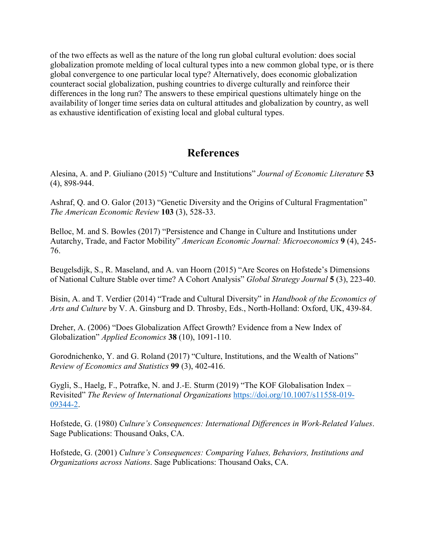of the two effects as well as the nature of the long run global cultural evolution: does social globalization promote melding of local cultural types into a new common global type, or is there global convergence to one particular local type? Alternatively, does economic globalization counteract social globalization, pushing countries to diverge culturally and reinforce their differences in the long run? The answers to these empirical questions ultimately hinge on the availability of longer time series data on cultural attitudes and globalization by country, as well as exhaustive identification of existing local and global cultural types.

## **References**

Alesina, A. and P. Giuliano (2015) "Culture and Institutions" *Journal of Economic Literature* **53** (4), 898-944.

Ashraf, Q. and O. Galor (2013) "Genetic Diversity and the Origins of Cultural Fragmentation" *The American Economic Review* **103** (3), 528-33.

Belloc, M. and S. Bowles (2017) "Persistence and Change in Culture and Institutions under Autarchy, Trade, and Factor Mobility" *American Economic Journal: Microeconomics* **9** (4), 245- 76.

Beugelsdijk, S., R. Maseland, and A. van Hoorn (2015) "Are Scores on Hofstede's Dimensions of National Culture Stable over time? A Cohort Analysis" *Global Strategy Journal* **5** (3), 223-40.

Bisin, A. and T. Verdier (2014) "Trade and Cultural Diversity" in *Handbook of the Economics of Arts and Culture* by V. A. Ginsburg and D. Throsby, Eds., North-Holland: Oxford, UK, 439-84.

Dreher, A. (2006) "Does Globalization Affect Growth? Evidence from a New Index of Globalization" *Applied Economics* **38** (10), 1091-110.

Gorodnichenko, Y. and G. Roland (2017) "Culture, Institutions, and the Wealth of Nations" *Review of Economics and Statistics* **99** (3), 402-416.

Gygli, S., Haelg, F., Potrafke, N. and J.-E. Sturm (2019) "The KOF Globalisation Index – Revisited" *The Review of International Organizations* [https://doi.org/10.1007/s11558-019-](https://doi.org/10.1007/s11558-019-09344-2) [09344-2.](https://doi.org/10.1007/s11558-019-09344-2)

Hofstede, G. (1980) *Culture's Consequences: International Differences in Work-Related Values*. Sage Publications: Thousand Oaks, CA.

Hofstede, G. (2001) *Culture's Consequences: Comparing Values, Behaviors, Institutions and Organizations across Nations*. Sage Publications: Thousand Oaks, CA.